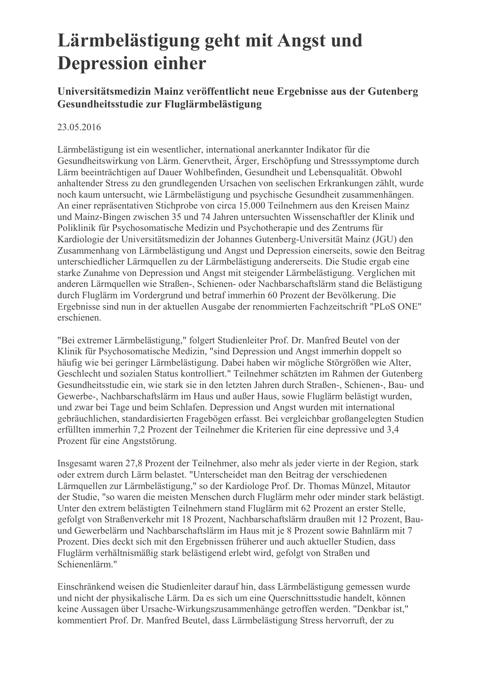## Lärmbelästigung geht mit Angst und **Depression einher**

## Universitätsmedizin Mainz veröffentlicht neue Ergebnisse aus der Gutenberg Gesundheitsstudie zur Fluglärmbelästigung

## 23.05.2016

Lärmbelästigung ist ein wesentlicher, international anerkannter Indikator für die Gesundheitswirkung von Lärm. Generytheit, Ärger, Erschöpfung und Stresssymptome durch Lärm beeinträchtigen auf Dauer Wohlbefinden, Gesundheit und Lebensqualität. Obwohl anhaltender Stress zu den grundlegenden Ursachen von seelischen Erkrankungen zählt, wurde noch kaum untersucht, wie Lärmbelästigung und psychische Gesundheit zusammenhängen. An einer repräsentativen Stichprobe von circa 15.000 Teilnehmern aus den Kreisen Mainz und Mainz-Bingen zwischen 35 und 74 Jahren untersuchten Wissenschaftler der Klinik und Poliklinik für Psychosomatische Medizin und Psychotherapie und des Zentrums für Kardiologie der Universitätsmedizin der Johannes Gutenberg-Universität Mainz (JGU) den Zusammenhang von Lärmbelästigung und Angst und Depression einerseits, sowie den Beitrag unterschiedlicher Lärmquellen zu der Lärmbelästigung andererseits. Die Studie ergab eine starke Zunahme von Depression und Angst mit steigender Lärmbelästigung. Verglichen mit anderen Lärmquellen wie Straßen-, Schienen- oder Nachbarschaftslärm stand die Belästigung durch Fluglärm im Vordergrund und betraf immerhin 60 Prozent der Bevölkerung. Die Ergebnisse sind nun in der aktuellen Ausgabe der renommierten Fachzeitschrift "PLoS ONE" erschienen.

"Bei extremer Lärmbelästigung," folgert Studienleiter Prof. Dr. Manfred Beutel von der Klinik für Psychosomatische Medizin, "sind Depression und Angst immerhin doppelt so häufig wie bei geringer Lärmbelästigung. Dabei haben wir mögliche Störgrößen wie Alter, Geschlecht und sozialen Status kontrolliert." Teilnehmer schätzten im Rahmen der Gutenberg Gesundheitsstudie ein, wie stark sie in den letzten Jahren durch Straßen-, Schienen-, Bau- und Gewerbe-, Nachbarschaftslärm im Haus und außer Haus, sowie Fluglärm belästigt wurden. und zwar bei Tage und beim Schlafen. Depression und Angst wurden mit international gebräuchlichen, standardisierten Fragebögen erfasst. Bei vergleichbar großangelegten Studien erfüllten immerhin 7,2 Prozent der Teilnehmer die Kriterien für eine depressive und 3,4 Prozent für eine Angststörung.

Insgesamt waren 27,8 Prozent der Teilnehmer, also mehr als jeder vierte in der Region, stark oder extrem durch Lärm belastet. "Unterscheidet man den Beitrag der verschiedenen Lärmquellen zur Lärmbelästigung," so der Kardiologe Prof. Dr. Thomas Münzel, Mitautor der Studie, "so waren die meisten Menschen durch Fluglärm mehr oder minder stark belästigt. Unter den extrem belästigten Teilnehmern stand Fluglärm mit 62 Prozent an erster Stelle, gefolgt von Straßenverkehr mit 18 Prozent, Nachbarschaftslärm draußen mit 12 Prozent, Bauund Gewerbelärm und Nachbarschaftslärm im Haus mit je 8 Prozent sowie Bahnlärm mit 7 Prozent. Dies deckt sich mit den Ergebnissen früherer und auch aktueller Studien, dass Fluglärm verhältnismäßig stark belästigend erlebt wird, gefolgt von Straßen und Schienenlärm."

Einschränkend weisen die Studienleiter darauf hin, dass Lärmbelästigung gemessen wurde und nicht der physikalische Lärm. Da es sich um eine Querschnittsstudie handelt, können keine Aussagen über Ursache-Wirkungszusammenhänge getroffen werden. "Denkbar ist." kommentiert Prof. Dr. Manfred Beutel, dass Lärmbelästigung Stress hervorruft, der zu